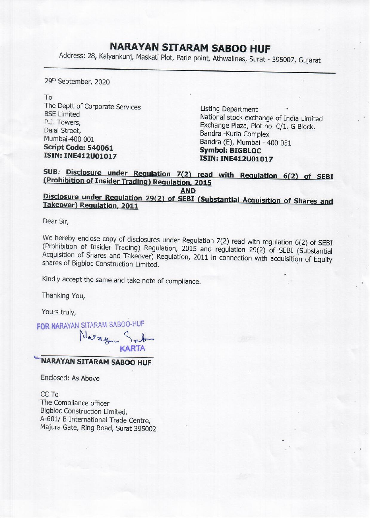## NARAYAN SITARAM SABOO HUF

**NARAYAN SITAF**<br>Address: 28, Kalyankunj, Maskati Plot, Parle Address: 28, Kalyankunj, Maskati Plot, Parle point, Athwalines, Surat - 395007, Gujarat

29<sup>th</sup> September, 2020

To

The Deptt of Corporate Services<br>
BSE Limited<br>
P.J. Towers,<br>
Dalal Street,<br>
Dalal Street,<br>
Mumbai-400 001<br>
Script Code: 540061<br>
Script Code: 540061<br>
SSE Limited<br>
Mumbai-400 001<br>
Script Code: 540061<br>
SSEN: INE412U01017<br>
SSEN

## SUB. Disclosure under Regulation 7(2) read with Regulation 6(2) of SEBI (Prohibition of Insider Trading) Regulation, 2015

## AND Disclosure under Regulation 29(2) of SEBI (Substantial Acquisition of Shares and Takeover) Regulation, 2011

Dear Sir,

We hereby enclose copy of disclosures under Regulation 7(2) read with regulation 6(2) of SEBI (Prohibition of Insider Trading) Regulation, 2015 and regulation 29(2) of SEBI (Substantial Acquisition of Shares and Takeover)

Kindly accept the same and take note of compliance.

Thanking You,

Yours truly,

FOR NARAYAN SITARAM SABOO-HUF

Nazayn KARTA

## "NARAYAN SITARAM SABOO HUF

Enclosed: As Above

CC To The Compliance officer Bigbloc Construction Limited. A-601/ B International Trade Centre, Majura Gate, Ring Road, Surat 395002